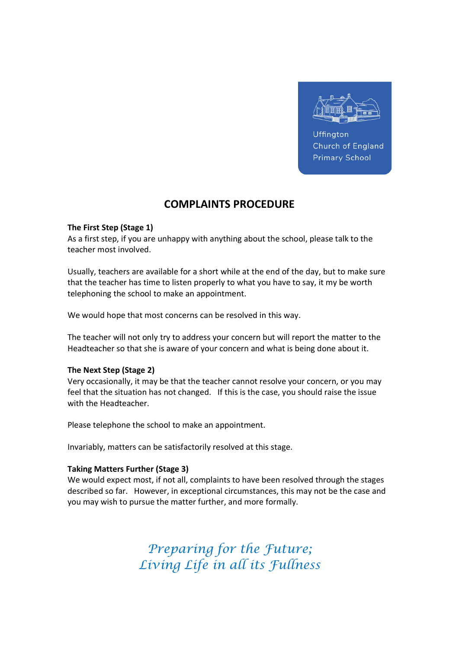

Uffington Church of England **Primary School** 

# COMPLAINTS PROCEDURE

# The First Step (Stage 1)

As a first step, if you are unhappy with anything about the school, please talk to the teacher most involved.

Usually, teachers are available for a short while at the end of the day, but to make sure that the teacher has time to listen properly to what you have to say, it my be worth telephoning the school to make an appointment.

We would hope that most concerns can be resolved in this way.

The teacher will not only try to address your concern but will report the matter to the Headteacher so that she is aware of your concern and what is being done about it.

# The Next Step (Stage 2)

Very occasionally, it may be that the teacher cannot resolve your concern, or you may feel that the situation has not changed. If this is the case, you should raise the issue with the Headteacher.

Please telephone the school to make an appointment.

Invariably, matters can be satisfactorily resolved at this stage.

# Taking Matters Further (Stage 3)

We would expect most, if not all, complaints to have been resolved through the stages described so far. However, in exceptional circumstances, this may not be the case and you may wish to pursue the matter further, and more formally.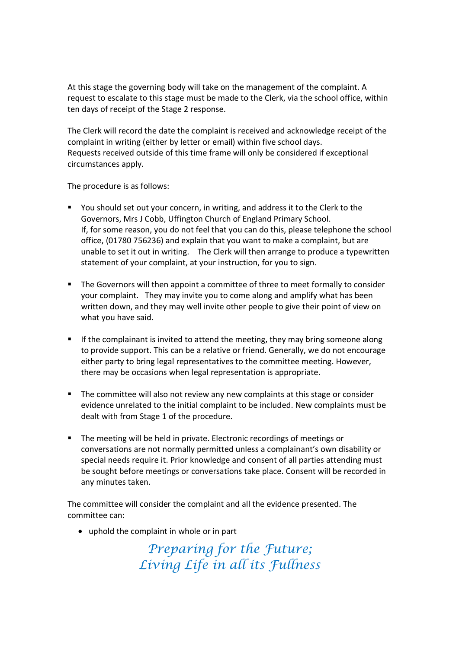At this stage the governing body will take on the management of the complaint. A request to escalate to this stage must be made to the Clerk, via the school office, within ten days of receipt of the Stage 2 response.

The Clerk will record the date the complaint is received and acknowledge receipt of the complaint in writing (either by letter or email) within five school days. Requests received outside of this time frame will only be considered if exceptional circumstances apply.

The procedure is as follows:

- You should set out your concern, in writing, and address it to the Clerk to the Governors, Mrs J Cobb, Uffington Church of England Primary School. If, for some reason, you do not feel that you can do this, please telephone the school office, (01780 756236) and explain that you want to make a complaint, but are unable to set it out in writing. The Clerk will then arrange to produce a typewritten statement of your complaint, at your instruction, for you to sign.
- The Governors will then appoint a committee of three to meet formally to consider your complaint. They may invite you to come along and amplify what has been written down, and they may well invite other people to give their point of view on what you have said.
- **If the complainant is invited to attend the meeting, they may bring someone along** to provide support. This can be a relative or friend. Generally, we do not encourage either party to bring legal representatives to the committee meeting. However, there may be occasions when legal representation is appropriate.
- The committee will also not review any new complaints at this stage or consider evidence unrelated to the initial complaint to be included. New complaints must be dealt with from Stage 1 of the procedure.
- The meeting will be held in private. Electronic recordings of meetings or conversations are not normally permitted unless a complainant's own disability or special needs require it. Prior knowledge and consent of all parties attending must be sought before meetings or conversations take place. Consent will be recorded in any minutes taken.

The committee will consider the complaint and all the evidence presented. The committee can:

uphold the complaint in whole or in part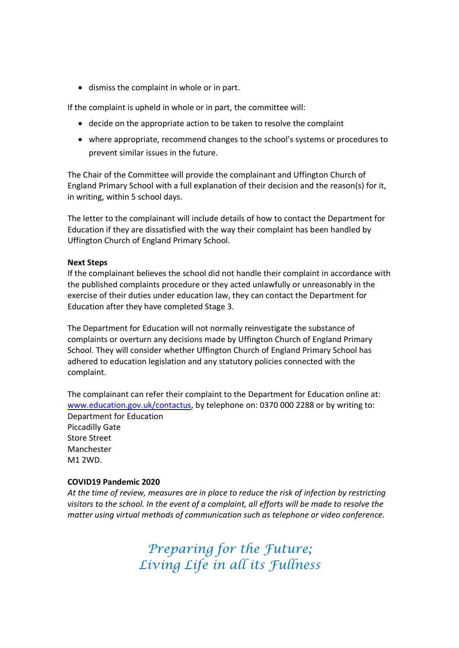dismiss the complaint in whole or in part.

If the complaint is upheld in whole or in part, the committee will:

- decide on the appropriate action to be taken to resolve the complaint
- where appropriate, recommend changes to the school's systems or procedures to prevent similar issues in the future.

The Chair of the Committee will provide the complainant and Uffington Church of England Primary School with a full explanation of their decision and the reason(s) for it, in writing, within 5 school days.

The letter to the complainant will include details of how to contact the Department for Education if they are dissatisfied with the way their complaint has been handled by Uffington Church of England Primary School.

#### Next Steps

If the complainant believes the school did not handle their complaint in accordance with the published complaints procedure or they acted unlawfully or unreasonably in the exercise of their duties under education law, they can contact the Department for Education after they have completed Stage 3.

The Department for Education will not normally reinvestigate the substance of complaints or overturn any decisions made by Uffington Church of England Primary School. They will consider whether Uffington Church of England Primary School has adhered to education legislation and any statutory policies connected with the complaint.

The complainant can refer their complaint to the Department for Education online at: www.education.gov.uk/contactus, by telephone on: 0370 000 2288 or by writing to: Department for Education Piccadilly Gate Store Street Manchester M1 2WD.

#### COVID19 Pandemic 2020

At the time of review, measures are in place to reduce the risk of infection by restricting visitors to the school. In the event of a complaint, all efforts will be made to resolve the matter using virtual methods of communication such as telephone or video conference.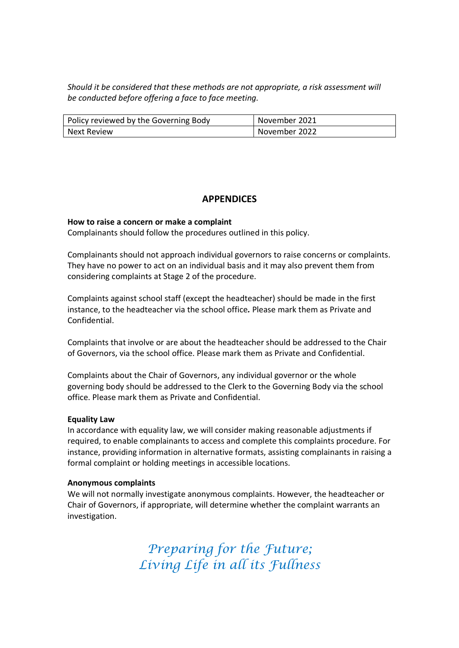Should it be considered that these methods are not appropriate, a risk assessment will be conducted before offering a face to face meeting.

| Policy reviewed by the Governing Body | November 2021 |
|---------------------------------------|---------------|
| l Next Review                         | November 2022 |

# APPENDICES

#### How to raise a concern or make a complaint

Complainants should follow the procedures outlined in this policy.

Complainants should not approach individual governors to raise concerns or complaints. They have no power to act on an individual basis and it may also prevent them from considering complaints at Stage 2 of the procedure.

Complaints against school staff (except the headteacher) should be made in the first instance, to the headteacher via the school office. Please mark them as Private and Confidential.

Complaints that involve or are about the headteacher should be addressed to the Chair of Governors, via the school office. Please mark them as Private and Confidential.

Complaints about the Chair of Governors, any individual governor or the whole governing body should be addressed to the Clerk to the Governing Body via the school office. Please mark them as Private and Confidential.

#### Equality Law

In accordance with equality law, we will consider making reasonable adjustments if required, to enable complainants to access and complete this complaints procedure. For instance, providing information in alternative formats, assisting complainants in raising a formal complaint or holding meetings in accessible locations.

# Anonymous complaints

We will not normally investigate anonymous complaints. However, the headteacher or Chair of Governors, if appropriate, will determine whether the complaint warrants an investigation.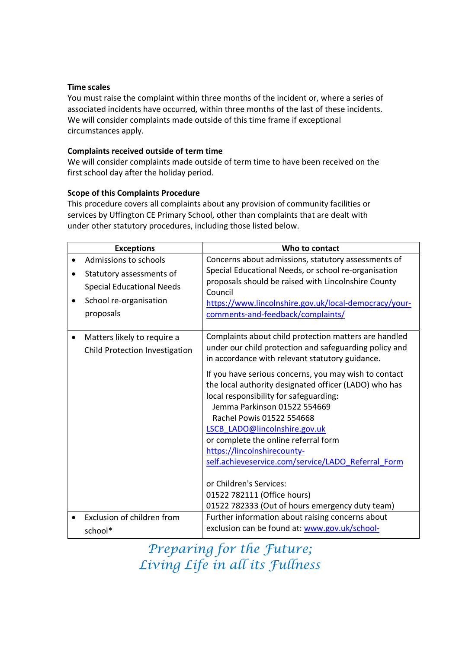# Time scales

You must raise the complaint within three months of the incident or, where a series of associated incidents have occurred, within three months of the last of these incidents. We will consider complaints made outside of this time frame if exceptional circumstances apply.

# Complaints received outside of term time

We will consider complaints made outside of term time to have been received on the first school day after the holiday period.

# Scope of this Complaints Procedure

This procedure covers all complaints about any provision of community facilities or services by Uffington CE Primary School, other than complaints that are dealt with under other statutory procedures, including those listed below.

| <b>Exceptions</b>                | Who to contact                                                 |
|----------------------------------|----------------------------------------------------------------|
| Admissions to schools            | Concerns about admissions, statutory assessments of            |
| Statutory assessments of         | Special Educational Needs, or school re-organisation           |
| <b>Special Educational Needs</b> | proposals should be raised with Lincolnshire County<br>Council |
| School re-organisation           | https://www.lincolnshire.gov.uk/local-democracy/your-          |
| proposals                        | comments-and-feedback/complaints/                              |
|                                  |                                                                |
| Matters likely to require a      | Complaints about child protection matters are handled          |
| Child Protection Investigation   | under our child protection and safeguarding policy and         |
|                                  | in accordance with relevant statutory guidance.                |
|                                  | If you have serious concerns, you may wish to contact          |
|                                  | the local authority designated officer (LADO) who has          |
|                                  | local responsibility for safeguarding:                         |
|                                  | Jemma Parkinson 01522 554669<br>Rachel Powis 01522 554668      |
|                                  | LSCB LADO@lincolnshire.gov.uk                                  |
|                                  | or complete the online referral form                           |
|                                  | https://lincolnshirecounty-                                    |
|                                  | self.achieveservice.com/service/LADO Referral Form             |
|                                  |                                                                |
|                                  | or Children's Services:                                        |
|                                  | 01522 782111 (Office hours)                                    |
|                                  | 01522 782333 (Out of hours emergency duty team)                |
| Exclusion of children from       | Further information about raising concerns about               |
| school*                          | exclusion can be found at: www.gov.uk/school-                  |